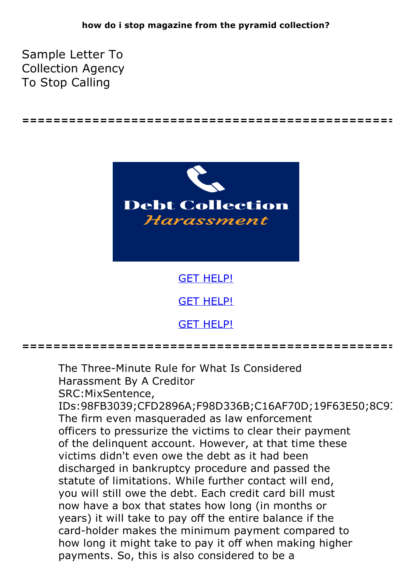**================================================**

Sample Letter To Collection Agency To Stop Calling



**================================================**

The Three-Minute Rule for What Is Considered Harassment By A Creditor SRC:MixSentence, IDs:98FB3039;CFD2896A;F98D336B;C16AF70D;19F63E50;8C9( The firm even masqueraded as law enforcement officers to pressurize the victims to clear their payment of the delinquent account. However, at that time these victims didn't even owe the debt as it had been discharged in bankruptcy procedure and passed the statute of limitations. While further contact will end, you will still owe the debt. Each credit card bill must now have a box that states how long (in months or years) it will take to pay off the entire balance if the card-holder makes the minimum payment compared to how long it might take to pay it off when making higher payments. So, this is also considered to be a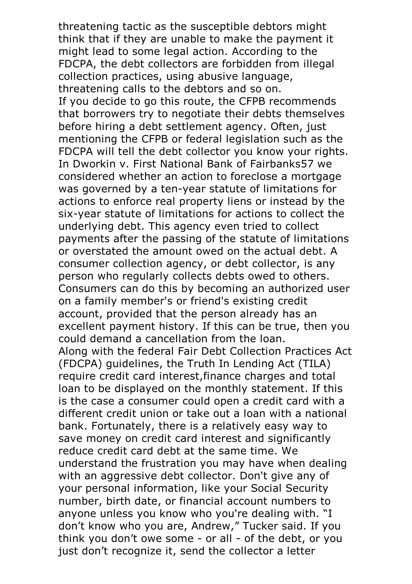threatening tactic as the susceptible debtors might think that if they are unable to make the payment it might lead to some legal action. According to the FDCPA, the debt collectors are forbidden from illegal collection practices, using abusive language, threatening calls to the debtors and so on. If you decide to go this route, the CFPB recommends that borrowers try to negotiate their debts themselves before hiring a debt settlement agency. Often, just mentioning the CFPB or federal legislation such as the FDCPA will tell the debt collector you know your rights. In Dworkin v. First National Bank of Fairbanks57 we considered whether an action to foreclose a mortgage was governed by a ten-year statute of limitations for actions to enforce real property liens or instead by the six-year statute of limitations for actions to collect the underlying debt. This agency even tried to collect payments after the passing of the statute of limitations or overstated the amount owed on the actual debt. A consumer collection agency, or debt collector, is any person who regularly collects debts owed to others. Consumers can do this by becoming an authorized user on a family member's or friend's existing credit account, provided that the person already has an excellent payment history. If this can be true, then you could demand <sup>a</sup> cancellation from the loan. Along with the federal Fair Debt Collection Practices Act (FDCPA) guidelines, the Truth In Lending Act (TILA) require credit card interest,finance charges and total loan to be displayed on the monthly statement. If this is the case a consumer could open a credit card with a different credit union or take out a loan with a national bank. Fortunately, there is a relatively easy way to save money on credit card interest and significantly reduce credit card debt at the same time. We understand the frustration you may have when dealing with an aggressive debt collector. Don't give any of your personal information, like your Social Security number, birth date, or financial account numbers to anyone unless you know who you're dealing with. "I don't know who you are, Andrew," Tucker said. If you think you don't owe some - or all - of the debt, or you just don't recognize it, send the collector a letter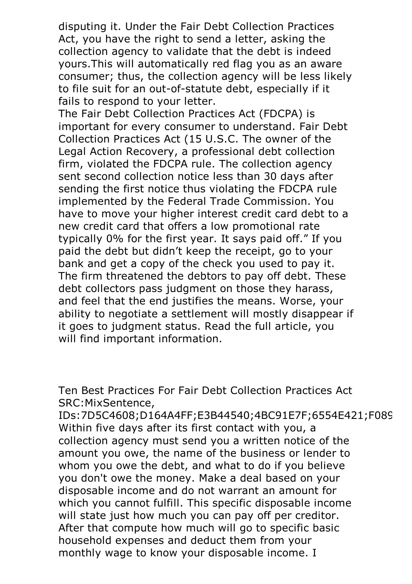disputing it. Under the Fair Debt Collection Practices Act, you have the right to send a letter, asking the collection agency to validate that the debt is indeed yours.This will automatically red flag you as an aware consumer; thus, the collection agency will be less likely to file suit for an out-of-statute debt, especially if it fails to respond to your letter. The Fair Debt Collection Practices Act (FDCPA) is

important for every consumer to understand. Fair Debt Collection Practices Act (15 U.S.C. The owner of the Legal Action Recovery, a professional debt collection firm, violated the FDCPA rule. The collection agency sent second collection notice less than 30 days after sending the first notice thus violating the FDCPA rule implemented by the Federal Trade Commission. You have to move your higher interest credit card debt to a new credit card that offers a low promotional rate typically 0% for the first year. It says paid off." If you paid the debt but didn't keep the receipt, go to your bank and get a copy of the check you used to pay it.<br>The firm threatened the debtors to pay off debt. These debt collectors pass judgment on those they harass, and feel that the end justifies the means. Worse, your ability to negotiate a settlement will mostly disappear if it goes to judgment status. Read the full article, you will find important information.

Ten Best Practices For Fair Debt Collection Practices Act SRC:MixSentence,

IDs:7D5C4608;D164A4FF;E3B44540;4BC91E7F;6554E421;F089 Within five days after its first contact with you, a collection agency must send you a written notice of the amount you owe, the name of the business or lender to whom you owe the debt, and what to do if you believe you don't owe the money. Make a deal based on your disposable income and do not warrant an amount for which you cannot fulfill. This specific disposable income will state just how much you can pay off per creditor.<br>After that compute how much will go to specific basic household expenses and deduct them from your monthly wage to know your disposable income. I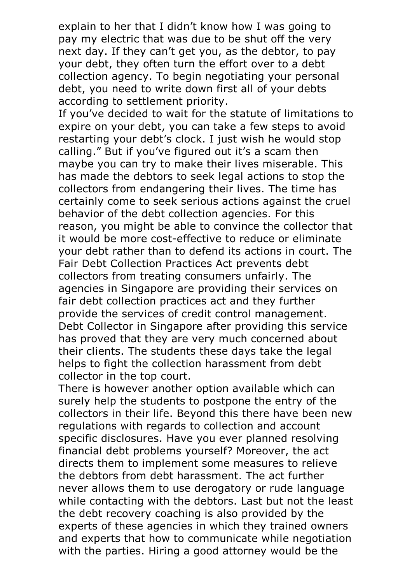explain to her that I didn't know how I was going to pay my electric that was due to be shut off the very next day. If they can't get you, as the debtor, to pay your debt, they often turn the effort over to a debt collection agency. To begin negotiating your personal debt, you need to write down first all of your debts according to settlement priority.

If you've decided to wait for the statute of limitations to expire on your debt, you can take a few steps to avoid restarting your debt's clock. I just wish he would stop calling." But if you've figured out it's a scam then maybe you can try to make their lives miserable. This has made the debtors to seek legal actions to stop the collectors from endangering their lives. The time has certainly come to seek serious actions against the cruel behavior of the debt collection agencies. For this reason, you might be able to convince the collector that it would be more cost-effective to reduce or eliminate your debt rather than to defend its actions in court. The Fair Debt Collection Practices Act prevents debt collectors from treating consumers unfairly. The agencies in Singapore are providing their services on fair debt collection practices act and they further provide the services of credit control management. Debt Collector in Singapore after providing this service has proved that they are very much concerned about their clients. The students these days take the legal helps to fight the collection harassment from debt

collector in the top court. There is however another option available which can surely help the students to postpone the entry of the collectors in their life. Beyond this there have been new regulations with regards to collection and account specific disclosures. Have you ever planned resolving financial debt problems yourself? Moreover, the act directs them to implement some measures to relieve the debtors from debt harassment. The act further never allows them to use derogatory or rude language while contacting with the debtors. Last but not the least the debt recovery coaching is also provided by the experts of these agencies in which they trained owners and experts that how to communicate while negotiation with the parties. Hiring a good attorney would be the